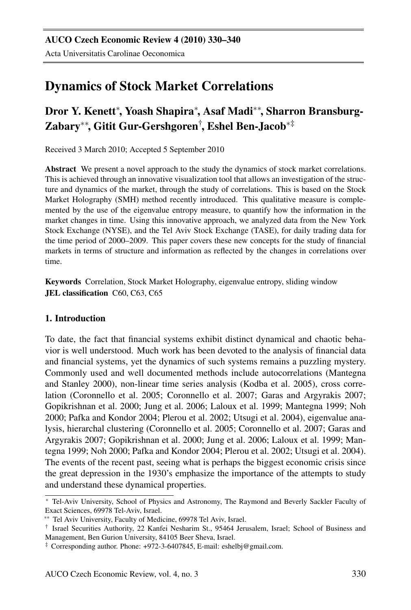# Dynamics of Stock Market Correlations

## Dror Y. Kenett<sup>∗</sup>, Yoash Shapira<sup>∗</sup>, Asaf Madi<sup>∗∗</sup>, Sharron Bransburg-Zabary∗∗, Gitit Gur-Gershgoren† , Eshel Ben-Jacob∗‡

Received 3 March 2010; Accepted 5 September 2010

Abstract We present a novel approach to the study the dynamics of stock market correlations. This is achieved through an innovative visualization tool that allows an investigation of the structure and dynamics of the market, through the study of correlations. This is based on the Stock Market Holography (SMH) method recently introduced. This qualitative measure is complemented by the use of the eigenvalue entropy measure, to quantify how the information in the market changes in time. Using this innovative approach, we analyzed data from the New York Stock Exchange (NYSE), and the Tel Aviv Stock Exchange (TASE), for daily trading data for the time period of 2000–2009. This paper covers these new concepts for the study of financial markets in terms of structure and information as reflected by the changes in correlations over time.

Keywords Correlation, Stock Market Holography, eigenvalue entropy, sliding window JEL classification C60, C63, C65

### 1. Introduction

To date, the fact that financial systems exhibit distinct dynamical and chaotic behavior is well understood. Much work has been devoted to the analysis of financial data and financial systems, yet the dynamics of such systems remains a puzzling mystery. Commonly used and well documented methods include autocorrelations (Mantegna and Stanley 2000), non-linear time series analysis (Kodba et al. 2005), cross correlation (Coronnello et al. 2005; Coronnello et al. 2007; Garas and Argyrakis 2007; Gopikrishnan et al. 2000; Jung et al. 2006; Laloux et al. 1999; Mantegna 1999; Noh 2000; Pafka and Kondor 2004; Plerou et al. 2002; Utsugi et al. 2004), eigenvalue analysis, hierarchal clustering (Coronnello et al. 2005; Coronnello et al. 2007; Garas and Argyrakis 2007; Gopikrishnan et al. 2000; Jung et al. 2006; Laloux et al. 1999; Mantegna 1999; Noh 2000; Pafka and Kondor 2004; Plerou et al. 2002; Utsugi et al. 2004). The events of the recent past, seeing what is perhaps the biggest economic crisis since the great depression in the 1930's emphasize the importance of the attempts to study and understand these dynamical properties.

<sup>∗</sup> Tel-Aviv University, School of Physics and Astronomy, The Raymond and Beverly Sackler Faculty of Exact Sciences, 69978 Tel-Aviv, Israel.

<sup>∗∗</sup> Tel Aviv University, Faculty of Medicine, 69978 Tel Aviv, Israel.

<sup>†</sup> Israel Securities Authority, 22 Kanfei Nesharim St., 95464 Jerusalem, Israel; School of Business and Management, Ben Gurion University, 84105 Beer Sheva, Israel.

<sup>‡</sup> Corresponding author. Phone: +972-3-6407845, E-mail: eshelbj@gmail.com.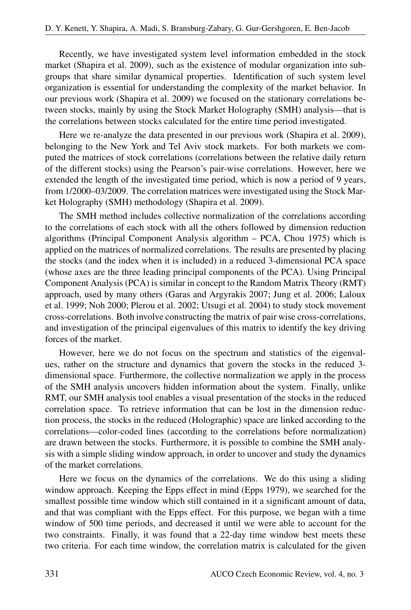Recently, we have investigated system level information embedded in the stock market (Shapira et al. 2009), such as the existence of modular organization into subgroups that share similar dynamical properties. Identification of such system level organization is essential for understanding the complexity of the market behavior. In our previous work (Shapira et al. 2009) we focused on the stationary correlations between stocks, mainly by using the Stock Market Holography (SMH) analysis—that is the correlations between stocks calculated for the entire time period investigated.

Here we re-analyze the data presented in our previous work (Shapira et al. 2009), belonging to the New York and Tel Aviv stock markets. For both markets we computed the matrices of stock correlations (correlations between the relative daily return of the different stocks) using the Pearson's pair-wise correlations. However, here we extended the length of the investigated time period, which is now a period of 9 years, from 1/2000–03/2009. The correlation matrices were investigated using the Stock Market Holography (SMH) methodology (Shapira et al. 2009).

The SMH method includes collective normalization of the correlations according to the correlations of each stock with all the others followed by dimension reduction algorithms (Principal Component Analysis algorithm – PCA, Chou 1975) which is applied on the matrices of normalized correlations. The results are presented by placing the stocks (and the index when it is included) in a reduced 3-dimensional PCA space (whose axes are the three leading principal components of the PCA). Using Principal Component Analysis (PCA) is similar in concept to the Random Matrix Theory (RMT) approach, used by many others (Garas and Argyrakis 2007; Jung et al. 2006; Laloux et al. 1999; Noh 2000; Plerou et al. 2002; Utsugi et al. 2004) to study stock movement cross-correlations. Both involve constructing the matrix of pair wise cross-correlations, and investigation of the principal eigenvalues of this matrix to identify the key driving forces of the market.

However, here we do not focus on the spectrum and statistics of the eigenvalues, rather on the structure and dynamics that govern the stocks in the reduced 3 dimensional space. Furthermore, the collective normalization we apply in the process of the SMH analysis uncovers hidden information about the system. Finally, unlike RMT, our SMH analysis tool enables a visual presentation of the stocks in the reduced correlation space. To retrieve information that can be lost in the dimension reduction process, the stocks in the reduced (Holographic) space are linked according to the correlations—color-coded lines (according to the correlations before normalization) are drawn between the stocks. Furthermore, it is possible to combine the SMH analysis with a simple sliding window approach, in order to uncover and study the dynamics of the market correlations.

Here we focus on the dynamics of the correlations. We do this using a sliding window approach. Keeping the Epps effect in mind (Epps 1979), we searched for the smallest possible time window which still contained in it a significant amount of data, and that was compliant with the Epps effect. For this purpose, we began with a time window of 500 time periods, and decreased it until we were able to account for the two constraints. Finally, it was found that a 22-day time window best meets these two criteria. For each time window, the correlation matrix is calculated for the given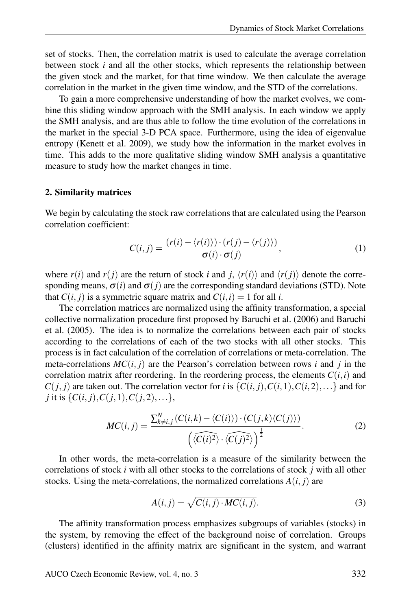set of stocks. Then, the correlation matrix is used to calculate the average correlation between stock *i* and all the other stocks, which represents the relationship between the given stock and the market, for that time window. We then calculate the average correlation in the market in the given time window, and the STD of the correlations.

To gain a more comprehensive understanding of how the market evolves, we combine this sliding window approach with the SMH analysis. In each window we apply the SMH analysis, and are thus able to follow the time evolution of the correlations in the market in the special 3-D PCA space. Furthermore, using the idea of eigenvalue entropy (Kenett et al. 2009), we study how the information in the market evolves in time. This adds to the more qualitative sliding window SMH analysis a quantitative measure to study how the market changes in time.

#### 2. Similarity matrices

We begin by calculating the stock raw correlations that are calculated using the Pearson correlation coefficient:

$$
C(i,j) = \frac{(r(i) - \langle r(i) \rangle) \cdot (r(j) - \langle r(j) \rangle)}{\sigma(i) \cdot \sigma(j)},
$$
\n(1)

where  $r(i)$  and  $r(j)$  are the return of stock *i* and *j*,  $\langle r(i) \rangle$  and  $\langle r(j) \rangle$  denote the corresponding means,  $\sigma(i)$  and  $\sigma(j)$  are the corresponding standard deviations (STD). Note that  $C(i, j)$  is a symmetric square matrix and  $C(i, i) = 1$  for all *i*.

The correlation matrices are normalized using the affinity transformation, a special collective normalization procedure first proposed by Baruchi et al. (2006) and Baruchi et al. (2005). The idea is to normalize the correlations between each pair of stocks according to the correlations of each of the two stocks with all other stocks. This process is in fact calculation of the correlation of correlations or meta-correlation. The meta-correlations  $MC(i, j)$  are the Pearson's correlation between rows *i* and *j* in the correlation matrix after reordering. In the reordering process, the elements  $C(i, i)$  and  $C(j, j)$  are taken out. The correlation vector for *i* is  $\{C(i, j), C(i, 1), C(i, 2), \ldots\}$  and for *j* it is  $\{C(i, j), C(j, 1), C(j, 2), \ldots\}$ ,

$$
MC(i,j) = \frac{\sum_{k \neq i,j}^{N} (C(i,k) - \langle C(i) \rangle) \cdot (C(j,k) \langle C(j) \rangle)}{\left(\langle \widehat{C(i)^{2}} \rangle \cdot \langle \widehat{C(j)^{2}} \rangle\right)^{\frac{1}{2}}}.
$$
 (2)

In other words, the meta-correlation is a measure of the similarity between the correlations of stock *i* with all other stocks to the correlations of stock *j* with all other stocks. Using the meta-correlations, the normalized correlations  $A(i, j)$  are

$$
A(i, j) = \sqrt{C(i, j) \cdot MC(i, j)}.
$$
\n(3)

The affinity transformation process emphasizes subgroups of variables (stocks) in the system, by removing the effect of the background noise of correlation. Groups (clusters) identified in the affinity matrix are significant in the system, and warrant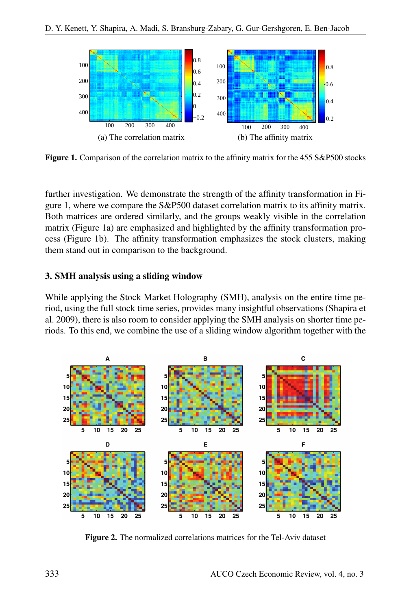

Figure 1. Comparison of the correlation matrix to the affinity matrix for the 455 S&P500 stocks

further investigation. We demonstrate the strength of the affinity transformation in Figure 1, where we compare the S&P500 dataset correlation matrix to its affinity matrix. Both matrices are ordered similarly, and the groups weakly visible in the correlation matrix (Figure 1a) are emphasized and highlighted by the affinity transformation process (Figure 1b). The affinity transformation emphasizes the stock clusters, making them stand out in comparison to the background.

#### 3. SMH analysis using a sliding window

While applying the Stock Market Holography (SMH), analysis on the entire time period, using the full stock time series, provides many insightful observations (Shapira et al. 2009), there is also room to consider applying the SMH analysis on shorter time periods. To this end, we combine the use of a sliding window algorithm together with the



Figure 2. The normalized correlations matrices for the Tel-Aviv dataset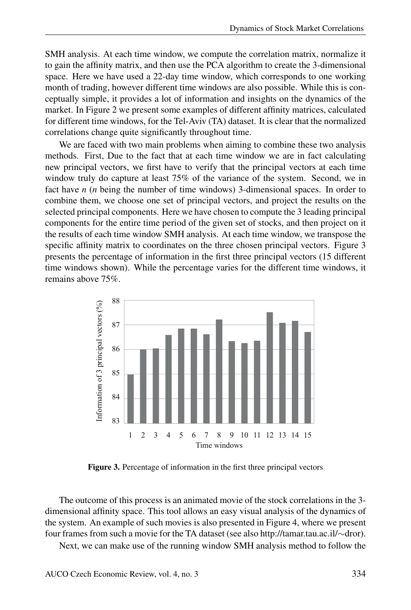SMH analysis. At each time window, we compute the correlation matrix, normalize it to gain the affinity matrix, and then use the PCA algorithm to create the 3-dimensional space. Here we have used a 22-day time window, which corresponds to one working month of trading, however different time windows are also possible. While this is conceptually simple, it provides a lot of information and insights on the dynamics of the market. In Figure 2 we present some examples of different affinity matrices, calculated for different time windows, for the Tel-Aviv (TA) dataset. It is clear that the normalized correlations change quite significantly throughout time.

We are faced with two main problems when aiming to combine these two analysis methods. First, Due to the fact that at each time window we are in fact calculating new principal vectors, we first have to verify that the principal vectors at each time window truly do capture at least 75% of the variance of the system. Second, we in fact have *n* (*n* being the number of time windows) 3-dimensional spaces. In order to combine them, we choose one set of principal vectors, and project the results on the selected principal components. Here we have chosen to compute the 3 leading principal components for the entire time period of the given set of stocks, and then project on it the results of each time window SMH analysis. At each time window, we transpose the specific affinity matrix to coordinates on the three chosen principal vectors. Figure 3 presents the percentage of information in the first three principal vectors (15 different time windows shown). While the percentage varies for the different time windows, it remains above 75%.



Figure 3. Percentage of information in the first three principal vectors

The outcome of this process is an animated movie of the stock correlations in the 3 dimensional affinity space. This tool allows an easy visual analysis of the dynamics of the system. An example of such movies is also presented in Figure 4, where we present four frames from such a movie for the TA dataset (see also http://tamar.tau.ac.il/∼dror).

Next, we can make use of the running window SMH analysis method to follow the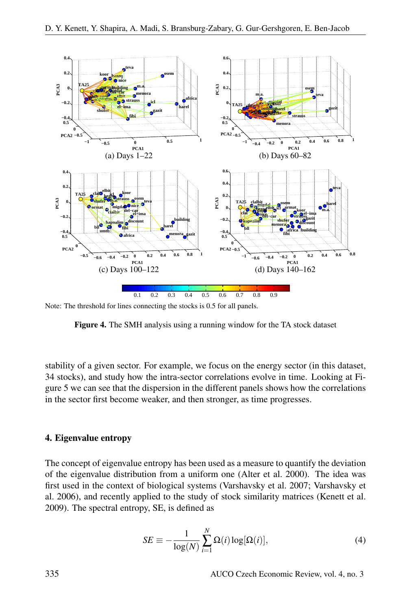

Note: The threshold for lines connecting the stocks is 0.5 for all panels.

Figure 4. The SMH analysis using a running window for the TA stock dataset

stability of a given sector. For example, we focus on the energy sector (in this dataset, 34 stocks), and study how the intra-sector correlations evolve in time. Looking at Figure 5 we can see that the dispersion in the different panels shows how the correlations in the sector first become weaker, and then stronger, as time progresses.

#### 4. Eigenvalue entropy

The concept of eigenvalue entropy has been used as a measure to quantify the deviation of the eigenvalue distribution from a uniform one (Alter et al. 2000). The idea was first used in the context of biological systems (Varshavsky et al. 2007; Varshavsky et al. 2006), and recently applied to the study of stock similarity matrices (Kenett et al. 2009). The spectral entropy, SE, is defined as

$$
SE \equiv -\frac{1}{\log(N)} \sum_{i=1}^{N} \Omega(i) \log[\Omega(i)], \tag{4}
$$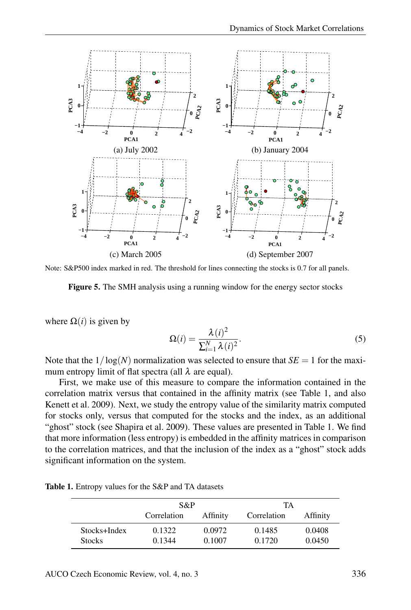

Note: S&P500 index marked in red. The threshold for lines connecting the stocks is 0.7 for all panels.



where  $\Omega(i)$  is given by

$$
\Omega(i) = \frac{\lambda(i)^2}{\sum_{i=1}^{N} \lambda(i)^2}.
$$
\n(5)

Note that the  $1/\log(N)$  normalization was selected to ensure that  $SE = 1$  for the maximum entropy limit of flat spectra (all  $\lambda$  are equal).

First, we make use of this measure to compare the information contained in the correlation matrix versus that contained in the affinity matrix (see Table 1, and also Kenett et al. 2009). Next, we study the entropy value of the similarity matrix computed for stocks only, versus that computed for the stocks and the index, as an additional "ghost" stock (see Shapira et al. 2009). These values are presented in Table 1. We find that more information (less entropy) is embedded in the affinity matrices in comparison to the correlation matrices, and that the inclusion of the index as a "ghost" stock adds significant information on the system.

Table 1. Entropy values for the S&P and TA datasets

|               | S&P         |          | TА          |          |
|---------------|-------------|----------|-------------|----------|
|               | Correlation | Affinity | Correlation | Affinity |
| Stocks+Index  | 0.1322      | 0.0972   | 0.1485      | 0.0408   |
| <b>Stocks</b> | 0.1344      | 0.1007   | 0.1720      | 0.0450   |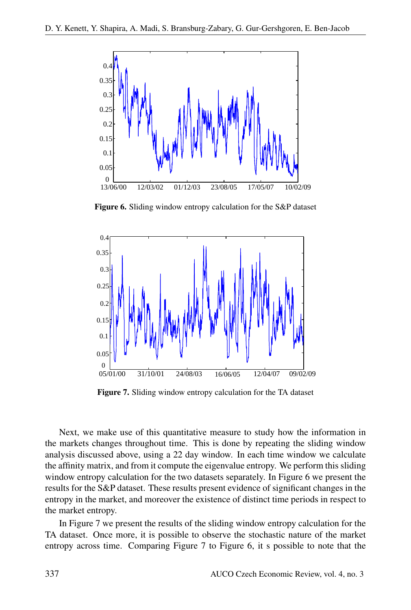

Figure 6. Sliding window entropy calculation for the S&P dataset



Figure 7. Sliding window entropy calculation for the TA dataset

Next, we make use of this quantitative measure to study how the information in the markets changes throughout time. This is done by repeating the sliding window analysis discussed above, using a 22 day window. In each time window we calculate the affinity matrix, and from it compute the eigenvalue entropy. We perform this sliding window entropy calculation for the two datasets separately. In Figure 6 we present the results for the S&P dataset. These results present evidence of significant changes in the entropy in the market, and moreover the existence of distinct time periods in respect to the market entropy.

In Figure 7 we present the results of the sliding window entropy calculation for the TA dataset. Once more, it is possible to observe the stochastic nature of the market entropy across time. Comparing Figure 7 to Figure 6, it s possible to note that the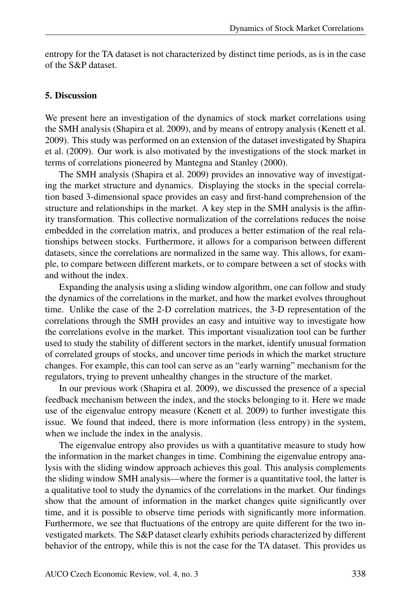entropy for the TA dataset is not characterized by distinct time periods, as is in the case of the S&P dataset.

#### 5. Discussion

We present here an investigation of the dynamics of stock market correlations using the SMH analysis (Shapira et al. 2009), and by means of entropy analysis (Kenett et al. 2009). This study was performed on an extension of the dataset investigated by Shapira et al. (2009). Our work is also motivated by the investigations of the stock market in terms of correlations pioneered by Mantegna and Stanley (2000).

The SMH analysis (Shapira et al. 2009) provides an innovative way of investigating the market structure and dynamics. Displaying the stocks in the special correlation based 3-dimensional space provides an easy and first-hand comprehension of the structure and relationships in the market. A key step in the SMH analysis is the affinity transformation. This collective normalization of the correlations reduces the noise embedded in the correlation matrix, and produces a better estimation of the real relationships between stocks. Furthermore, it allows for a comparison between different datasets, since the correlations are normalized in the same way. This allows, for example, to compare between different markets, or to compare between a set of stocks with and without the index.

Expanding the analysis using a sliding window algorithm, one can follow and study the dynamics of the correlations in the market, and how the market evolves throughout time. Unlike the case of the 2-D correlation matrices, the 3-D representation of the correlations through the SMH provides an easy and intuitive way to investigate how the correlations evolve in the market. This important visualization tool can be further used to study the stability of different sectors in the market, identify unusual formation of correlated groups of stocks, and uncover time periods in which the market structure changes. For example, this can tool can serve as an "early warning" mechanism for the regulators, trying to prevent unhealthy changes in the structure of the market.

In our previous work (Shapira et al. 2009), we discussed the presence of a special feedback mechanism between the index, and the stocks belonging to it. Here we made use of the eigenvalue entropy measure (Kenett et al. 2009) to further investigate this issue. We found that indeed, there is more information (less entropy) in the system, when we include the index in the analysis.

The eigenvalue entropy also provides us with a quantitative measure to study how the information in the market changes in time. Combining the eigenvalue entropy analysis with the sliding window approach achieves this goal. This analysis complements the sliding window SMH analysis—where the former is a quantitative tool, the latter is a qualitative tool to study the dynamics of the correlations in the market. Our findings show that the amount of information in the market changes quite significantly over time, and it is possible to observe time periods with significantly more information. Furthermore, we see that fluctuations of the entropy are quite different for the two investigated markets. The S&P dataset clearly exhibits periods characterized by different behavior of the entropy, while this is not the case for the TA dataset. This provides us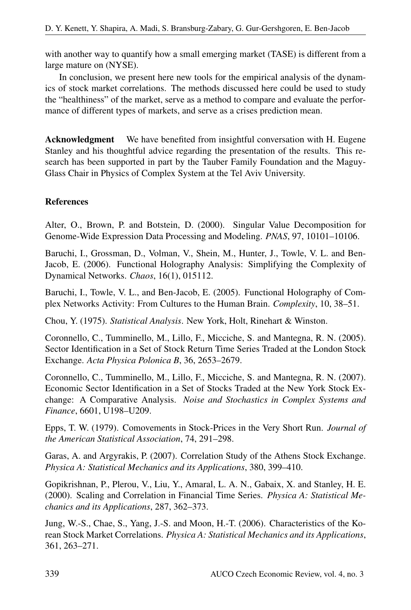with another way to quantify how a small emerging market (TASE) is different from a large mature on (NYSE).

In conclusion, we present here new tools for the empirical analysis of the dynamics of stock market correlations. The methods discussed here could be used to study the "healthiness" of the market, serve as a method to compare and evaluate the performance of different types of markets, and serve as a crises prediction mean.

Acknowledgment We have benefited from insightful conversation with H. Eugene Stanley and his thoughtful advice regarding the presentation of the results. This research has been supported in part by the Tauber Family Foundation and the Maguy-Glass Chair in Physics of Complex System at the Tel Aviv University.

## References

Alter, O., Brown, P. and Botstein, D. (2000). Singular Value Decomposition for Genome-Wide Expression Data Processing and Modeling. *PNAS*, 97, 10101–10106.

Baruchi, I., Grossman, D., Volman, V., Shein, M., Hunter, J., Towle, V. L. and Ben-Jacob, E. (2006). Functional Holography Analysis: Simplifying the Complexity of Dynamical Networks. *Chaos*, 16(1), 015112.

Baruchi, I., Towle, V. L., and Ben-Jacob, E. (2005). Functional Holography of Complex Networks Activity: From Cultures to the Human Brain. *Complexity*, 10, 38–51.

Chou, Y. (1975). *Statistical Analysis*. New York, Holt, Rinehart & Winston.

Coronnello, C., Tumminello, M., Lillo, F., Micciche, S. and Mantegna, R. N. (2005). Sector Identification in a Set of Stock Return Time Series Traded at the London Stock Exchange. *Acta Physica Polonica B*, 36, 2653–2679.

Coronnello, C., Tumminello, M., Lillo, F., Micciche, S. and Mantegna, R. N. (2007). Economic Sector Identification in a Set of Stocks Traded at the New York Stock Exchange: A Comparative Analysis. *Noise and Stochastics in Complex Systems and Finance*, 6601, U198–U209.

Epps, T. W. (1979). Comovements in Stock-Prices in the Very Short Run. *Journal of the American Statistical Association*, 74, 291–298.

Garas, A. and Argyrakis, P. (2007). Correlation Study of the Athens Stock Exchange. *Physica A: Statistical Mechanics and its Applications*, 380, 399–410.

Gopikrishnan, P., Plerou, V., Liu, Y., Amaral, L. A. N., Gabaix, X. and Stanley, H. E. (2000). Scaling and Correlation in Financial Time Series. *Physica A: Statistical Mechanics and its Applications*, 287, 362–373.

Jung, W.-S., Chae, S., Yang, J.-S. and Moon, H.-T. (2006). Characteristics of the Korean Stock Market Correlations. *Physica A: Statistical Mechanics and its Applications*, 361, 263–271.